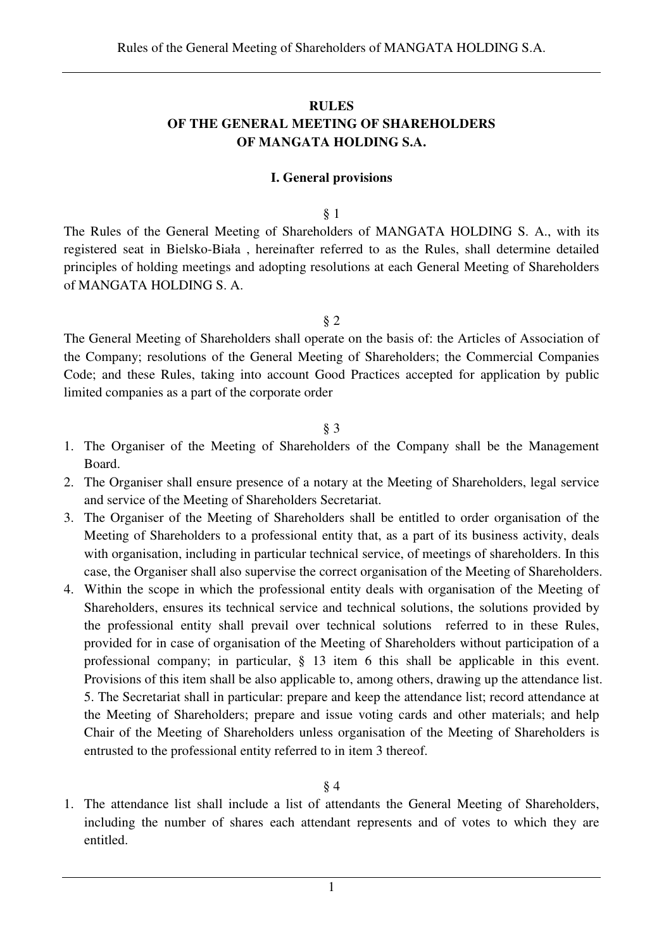# **RULES OF THE GENERAL MEETING OF SHAREHOLDERS OF MANGATA HOLDING S.A.**

### **I. General provisions**

#### § 1

The Rules of the General Meeting of Shareholders of MANGATA HOLDING S. A., with its registered seat in Bielsko-Biała , hereinafter referred to as the Rules, shall determine detailed principles of holding meetings and adopting resolutions at each General Meeting of Shareholders of MANGATA HOLDING S. A.

§ 2

The General Meeting of Shareholders shall operate on the basis of: the Articles of Association of the Company; resolutions of the General Meeting of Shareholders; the Commercial Companies Code; and these Rules, taking into account Good Practices accepted for application by public limited companies as a part of the corporate order

#### § 3

- 1. The Organiser of the Meeting of Shareholders of the Company shall be the Management Board.
- 2. The Organiser shall ensure presence of a notary at the Meeting of Shareholders, legal service and service of the Meeting of Shareholders Secretariat.
- 3. The Organiser of the Meeting of Shareholders shall be entitled to order organisation of the Meeting of Shareholders to a professional entity that, as a part of its business activity, deals with organisation, including in particular technical service, of meetings of shareholders. In this case, the Organiser shall also supervise the correct organisation of the Meeting of Shareholders.
- 4. Within the scope in which the professional entity deals with organisation of the Meeting of Shareholders, ensures its technical service and technical solutions, the solutions provided by the professional entity shall prevail over technical solutions referred to in these Rules, provided for in case of organisation of the Meeting of Shareholders without participation of a professional company; in particular, § 13 item 6 this shall be applicable in this event. Provisions of this item shall be also applicable to, among others, drawing up the attendance list. 5. The Secretariat shall in particular: prepare and keep the attendance list; record attendance at the Meeting of Shareholders; prepare and issue voting cards and other materials; and help Chair of the Meeting of Shareholders unless organisation of the Meeting of Shareholders is entrusted to the professional entity referred to in item 3 thereof.

#### § 4

1. The attendance list shall include a list of attendants the General Meeting of Shareholders, including the number of shares each attendant represents and of votes to which they are entitled.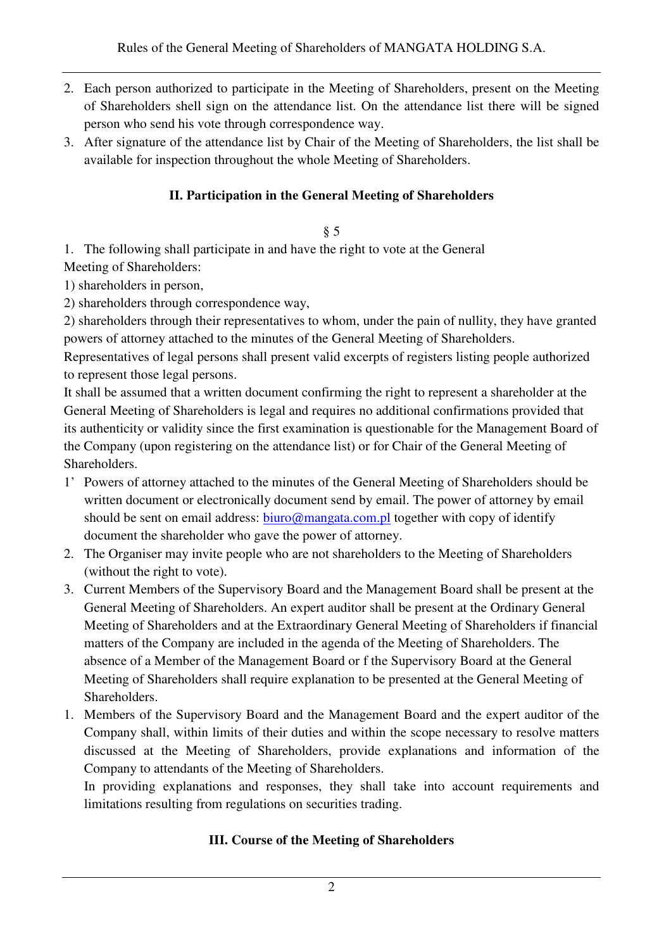- 2. Each person authorized to participate in the Meeting of Shareholders, present on the Meeting of Shareholders shell sign on the attendance list. On the attendance list there will be signed person who send his vote through correspondence way.
- 3. After signature of the attendance list by Chair of the Meeting of Shareholders, the list shall be available for inspection throughout the whole Meeting of Shareholders.

# **II. Participation in the General Meeting of Shareholders**

# § 5

1. The following shall participate in and have the right to vote at the General Meeting of Shareholders:

- 1) shareholders in person,
- 2) shareholders through correspondence way,

2) shareholders through their representatives to whom, under the pain of nullity, they have granted powers of attorney attached to the minutes of the General Meeting of Shareholders.

Representatives of legal persons shall present valid excerpts of registers listing people authorized to represent those legal persons.

It shall be assumed that a written document confirming the right to represent a shareholder at the General Meeting of Shareholders is legal and requires no additional confirmations provided that its authenticity or validity since the first examination is questionable for the Management Board of the Company (upon registering on the attendance list) or for Chair of the General Meeting of Shareholders.

- 1' Powers of attorney attached to the minutes of the General Meeting of Shareholders should be written document or electronically document send by email. The power of attorney by email should be sent on email address:  $b$ iuro@mangata.com.pl together with copy of identify document the shareholder who gave the power of attorney.
- 2. The Organiser may invite people who are not shareholders to the Meeting of Shareholders (without the right to vote).
- 3. Current Members of the Supervisory Board and the Management Board shall be present at the General Meeting of Shareholders. An expert auditor shall be present at the Ordinary General Meeting of Shareholders and at the Extraordinary General Meeting of Shareholders if financial matters of the Company are included in the agenda of the Meeting of Shareholders. The absence of a Member of the Management Board or f the Supervisory Board at the General Meeting of Shareholders shall require explanation to be presented at the General Meeting of Shareholders.
- 1. Members of the Supervisory Board and the Management Board and the expert auditor of the Company shall, within limits of their duties and within the scope necessary to resolve matters discussed at the Meeting of Shareholders, provide explanations and information of the Company to attendants of the Meeting of Shareholders.

In providing explanations and responses, they shall take into account requirements and limitations resulting from regulations on securities trading.

# **III. Course of the Meeting of Shareholders**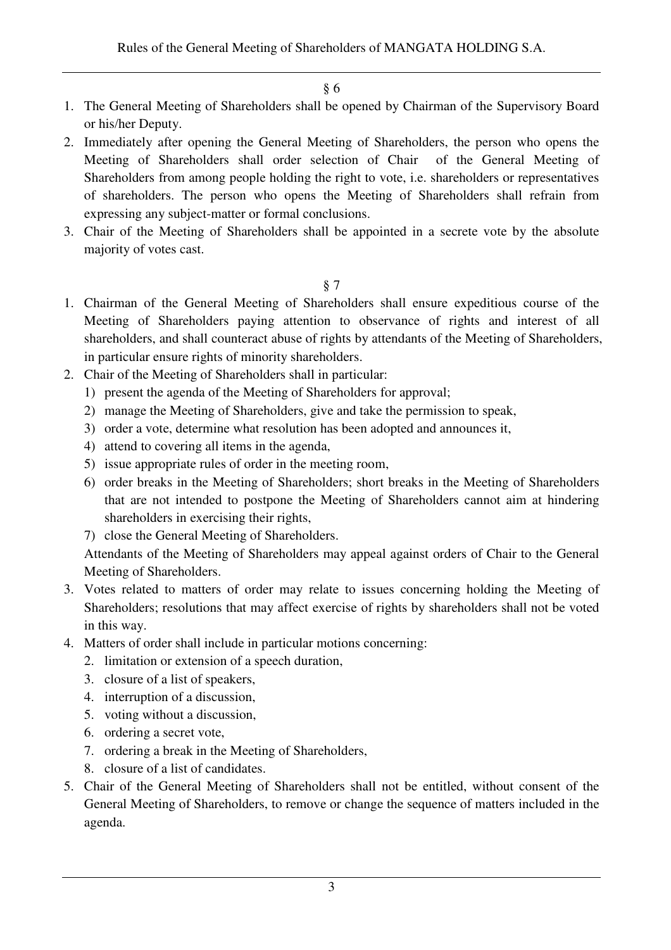§ 6

- 1. The General Meeting of Shareholders shall be opened by Chairman of the Supervisory Board or his/her Deputy.
- 2. Immediately after opening the General Meeting of Shareholders, the person who opens the Meeting of Shareholders shall order selection of Chair of the General Meeting of Shareholders from among people holding the right to vote, i.e. shareholders or representatives of shareholders. The person who opens the Meeting of Shareholders shall refrain from expressing any subject-matter or formal conclusions.
- 3. Chair of the Meeting of Shareholders shall be appointed in a secrete vote by the absolute majority of votes cast.

§ 7

- 1. Chairman of the General Meeting of Shareholders shall ensure expeditious course of the Meeting of Shareholders paying attention to observance of rights and interest of all shareholders, and shall counteract abuse of rights by attendants of the Meeting of Shareholders, in particular ensure rights of minority shareholders.
- 2. Chair of the Meeting of Shareholders shall in particular:
	- 1) present the agenda of the Meeting of Shareholders for approval;
	- 2) manage the Meeting of Shareholders, give and take the permission to speak,
	- 3) order a vote, determine what resolution has been adopted and announces it,
	- 4) attend to covering all items in the agenda,
	- 5) issue appropriate rules of order in the meeting room,
	- 6) order breaks in the Meeting of Shareholders; short breaks in the Meeting of Shareholders that are not intended to postpone the Meeting of Shareholders cannot aim at hindering shareholders in exercising their rights,
	- 7) close the General Meeting of Shareholders.

Attendants of the Meeting of Shareholders may appeal against orders of Chair to the General Meeting of Shareholders.

- 3. Votes related to matters of order may relate to issues concerning holding the Meeting of Shareholders; resolutions that may affect exercise of rights by shareholders shall not be voted in this way.
- 4. Matters of order shall include in particular motions concerning:
	- 2. limitation or extension of a speech duration,
	- 3. closure of a list of speakers,
	- 4. interruption of a discussion,
	- 5. voting without a discussion,
	- 6. ordering a secret vote,
	- 7. ordering a break in the Meeting of Shareholders,
	- 8. closure of a list of candidates.
- 5. Chair of the General Meeting of Shareholders shall not be entitled, without consent of the General Meeting of Shareholders, to remove or change the sequence of matters included in the agenda.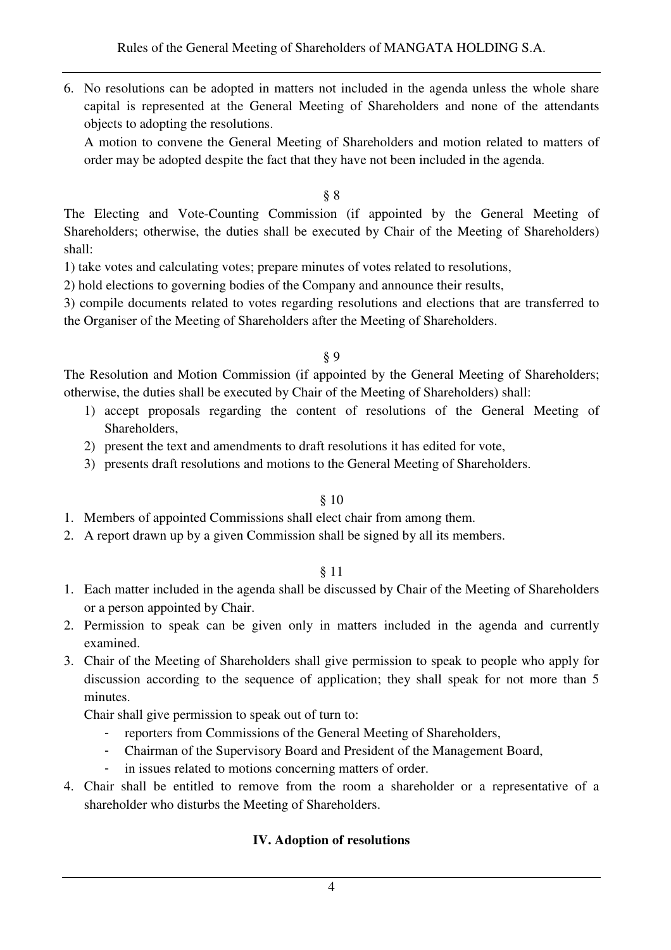6. No resolutions can be adopted in matters not included in the agenda unless the whole share capital is represented at the General Meeting of Shareholders and none of the attendants objects to adopting the resolutions.

A motion to convene the General Meeting of Shareholders and motion related to matters of order may be adopted despite the fact that they have not been included in the agenda.

§ 8

The Electing and Vote-Counting Commission (if appointed by the General Meeting of Shareholders; otherwise, the duties shall be executed by Chair of the Meeting of Shareholders) shall:

1) take votes and calculating votes; prepare minutes of votes related to resolutions,

2) hold elections to governing bodies of the Company and announce their results,

3) compile documents related to votes regarding resolutions and elections that are transferred to the Organiser of the Meeting of Shareholders after the Meeting of Shareholders.

§ 9

The Resolution and Motion Commission (if appointed by the General Meeting of Shareholders; otherwise, the duties shall be executed by Chair of the Meeting of Shareholders) shall:

- 1) accept proposals regarding the content of resolutions of the General Meeting of Shareholders,
- 2) present the text and amendments to draft resolutions it has edited for vote,
- 3) presents draft resolutions and motions to the General Meeting of Shareholders.

# § 10

- 1. Members of appointed Commissions shall elect chair from among them.
- 2. A report drawn up by a given Commission shall be signed by all its members.

# § 11

- 1. Each matter included in the agenda shall be discussed by Chair of the Meeting of Shareholders or a person appointed by Chair.
- 2. Permission to speak can be given only in matters included in the agenda and currently examined.
- 3. Chair of the Meeting of Shareholders shall give permission to speak to people who apply for discussion according to the sequence of application; they shall speak for not more than 5 minutes.

Chair shall give permission to speak out of turn to:

- reporters from Commissions of the General Meeting of Shareholders,
- Chairman of the Supervisory Board and President of the Management Board,
- in issues related to motions concerning matters of order.
- 4. Chair shall be entitled to remove from the room a shareholder or a representative of a shareholder who disturbs the Meeting of Shareholders.

# **IV. Adoption of resolutions**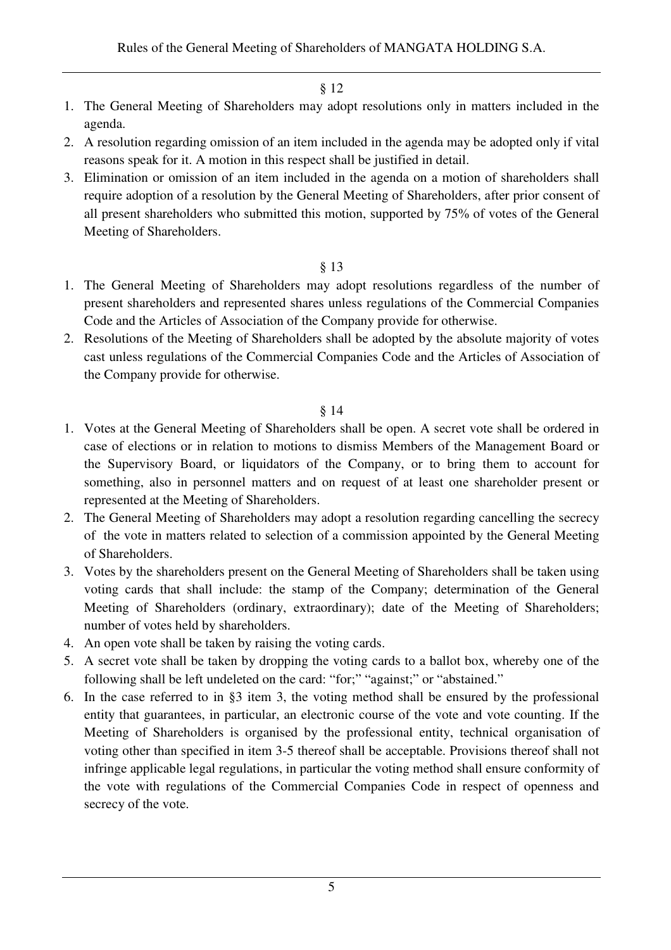## § 12

- 1. The General Meeting of Shareholders may adopt resolutions only in matters included in the agenda.
- 2. A resolution regarding omission of an item included in the agenda may be adopted only if vital reasons speak for it. A motion in this respect shall be justified in detail.
- 3. Elimination or omission of an item included in the agenda on a motion of shareholders shall require adoption of a resolution by the General Meeting of Shareholders, after prior consent of all present shareholders who submitted this motion, supported by 75% of votes of the General Meeting of Shareholders.

## § 13

- 1. The General Meeting of Shareholders may adopt resolutions regardless of the number of present shareholders and represented shares unless regulations of the Commercial Companies Code and the Articles of Association of the Company provide for otherwise.
- 2. Resolutions of the Meeting of Shareholders shall be adopted by the absolute majority of votes cast unless regulations of the Commercial Companies Code and the Articles of Association of the Company provide for otherwise.

# § 14

- 1. Votes at the General Meeting of Shareholders shall be open. A secret vote shall be ordered in case of elections or in relation to motions to dismiss Members of the Management Board or the Supervisory Board, or liquidators of the Company, or to bring them to account for something, also in personnel matters and on request of at least one shareholder present or represented at the Meeting of Shareholders.
- 2. The General Meeting of Shareholders may adopt a resolution regarding cancelling the secrecy of the vote in matters related to selection of a commission appointed by the General Meeting of Shareholders.
- 3. Votes by the shareholders present on the General Meeting of Shareholders shall be taken using voting cards that shall include: the stamp of the Company; determination of the General Meeting of Shareholders (ordinary, extraordinary); date of the Meeting of Shareholders; number of votes held by shareholders.
- 4. An open vote shall be taken by raising the voting cards.
- 5. A secret vote shall be taken by dropping the voting cards to a ballot box, whereby one of the following shall be left undeleted on the card: "for;" "against;" or "abstained."
- 6. In the case referred to in §3 item 3, the voting method shall be ensured by the professional entity that guarantees, in particular, an electronic course of the vote and vote counting. If the Meeting of Shareholders is organised by the professional entity, technical organisation of voting other than specified in item 3-5 thereof shall be acceptable. Provisions thereof shall not infringe applicable legal regulations, in particular the voting method shall ensure conformity of the vote with regulations of the Commercial Companies Code in respect of openness and secrecy of the vote.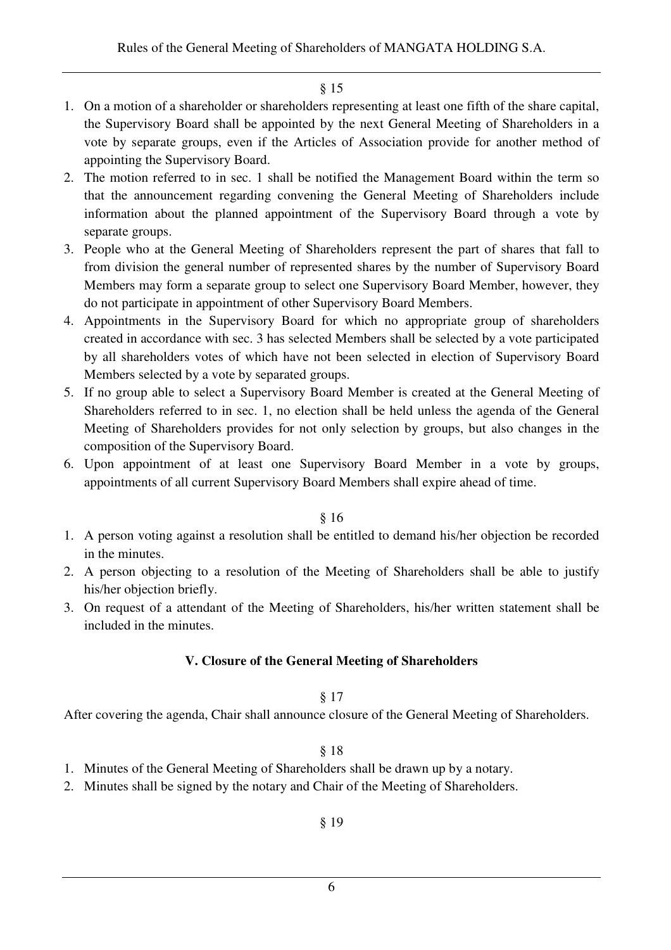## § 15

- 1. On a motion of a shareholder or shareholders representing at least one fifth of the share capital, the Supervisory Board shall be appointed by the next General Meeting of Shareholders in a vote by separate groups, even if the Articles of Association provide for another method of appointing the Supervisory Board.
- 2. The motion referred to in sec. 1 shall be notified the Management Board within the term so that the announcement regarding convening the General Meeting of Shareholders include information about the planned appointment of the Supervisory Board through a vote by separate groups.
- 3. People who at the General Meeting of Shareholders represent the part of shares that fall to from division the general number of represented shares by the number of Supervisory Board Members may form a separate group to select one Supervisory Board Member, however, they do not participate in appointment of other Supervisory Board Members.
- 4. Appointments in the Supervisory Board for which no appropriate group of shareholders created in accordance with sec. 3 has selected Members shall be selected by a vote participated by all shareholders votes of which have not been selected in election of Supervisory Board Members selected by a vote by separated groups.
- 5. If no group able to select a Supervisory Board Member is created at the General Meeting of Shareholders referred to in sec. 1, no election shall be held unless the agenda of the General Meeting of Shareholders provides for not only selection by groups, but also changes in the composition of the Supervisory Board.
- 6. Upon appointment of at least one Supervisory Board Member in a vote by groups, appointments of all current Supervisory Board Members shall expire ahead of time.

### § 16

- 1. A person voting against a resolution shall be entitled to demand his/her objection be recorded in the minutes.
- 2. A person objecting to a resolution of the Meeting of Shareholders shall be able to justify his/her objection briefly.
- 3. On request of a attendant of the Meeting of Shareholders, his/her written statement shall be included in the minutes.

### **V. Closure of the General Meeting of Shareholders**

### § 17

After covering the agenda, Chair shall announce closure of the General Meeting of Shareholders.

# § 18

- 1. Minutes of the General Meeting of Shareholders shall be drawn up by a notary.
- 2. Minutes shall be signed by the notary and Chair of the Meeting of Shareholders.

# § 19